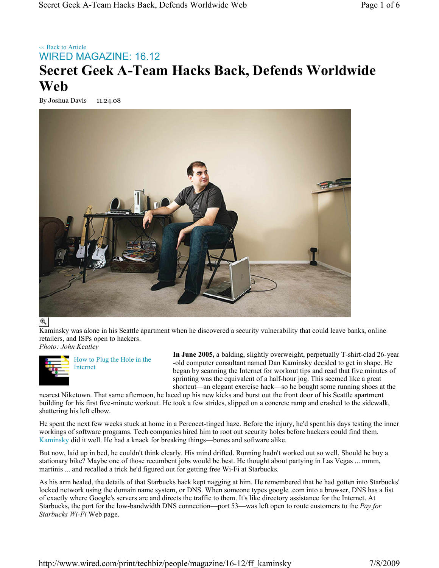## << Back to Article WIRED MAGAZINE: 16.12 **Secret Geek A-Team Hacks Back, Defends Worldwide Web**

By Joshua Davis 11.24.08



## $\mathcal{R}$

Kaminsky was alone in his Seattle apartment when he discovered a security vulnerability that could leave banks, online retailers, and ISPs open to hackers. *Photo: John Keatley*



How to Plug the Hole in the Internet

**In June 2005,** a balding, slightly overweight, perpetually T-shirt-clad 26-year -old computer consultant named Dan Kaminsky decided to get in shape. He began by scanning the Internet for workout tips and read that five minutes of sprinting was the equivalent of a half-hour jog. This seemed like a great shortcut—an elegant exercise hack—so he bought some running shoes at the

nearest Niketown. That same afternoon, he laced up his new kicks and burst out the front door of his Seattle apartment building for his first five-minute workout. He took a few strides, slipped on a concrete ramp and crashed to the sidewalk, shattering his left elbow.

He spent the next few weeks stuck at home in a Percocet-tinged haze. Before the injury, he'd spent his days testing the inner workings of software programs. Tech companies hired him to root out security holes before hackers could find them. Kaminsky did it well. He had a knack for breaking things—bones and software alike.

But now, laid up in bed, he couldn't think clearly. His mind drifted. Running hadn't worked out so well. Should he buy a stationary bike? Maybe one of those recumbent jobs would be best. He thought about partying in Las Vegas ... mmm, martinis ... and recalled a trick he'd figured out for getting free Wi-Fi at Starbucks.

As his arm healed, the details of that Starbucks hack kept nagging at him. He remembered that he had gotten into Starbucks' locked network using the domain name system, or DNS. When someone types google .com into a browser, DNS has a list of exactly where Google's servers are and directs the traffic to them. It's like directory assistance for the Internet. At Starbucks, the port for the low-bandwidth DNS connection—port 53—was left open to route customers to the *Pay for Starbucks Wi-Fi* Web page.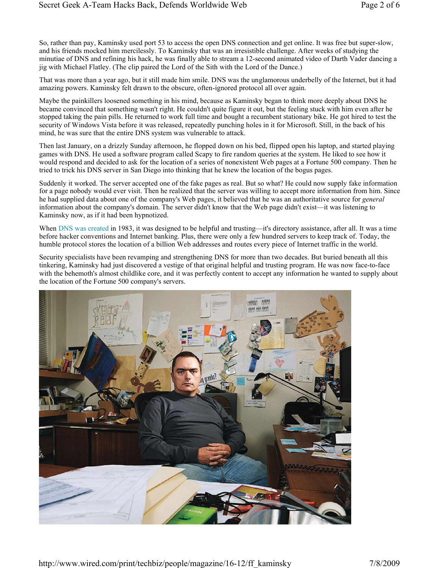So, rather than pay, Kaminsky used port 53 to access the open DNS connection and get online. It was free but super-slow, and his friends mocked him mercilessly. To Kaminsky that was an irresistible challenge. After weeks of studying the minutiae of DNS and refining his hack, he was finally able to stream a 12-second animated video of Darth Vader dancing a jig with Michael Flatley. (The clip paired the Lord of the Sith with the Lord of the Dance.)

That was more than a year ago, but it still made him smile. DNS was the unglamorous underbelly of the Internet, but it had amazing powers. Kaminsky felt drawn to the obscure, often-ignored protocol all over again.

Maybe the painkillers loosened something in his mind, because as Kaminsky began to think more deeply about DNS he became convinced that something wasn't right. He couldn't quite figure it out, but the feeling stuck with him even after he stopped taking the pain pills. He returned to work full time and bought a recumbent stationary bike. He got hired to test the security of Windows Vista before it was released, repeatedly punching holes in it for Microsoft. Still, in the back of his mind, he was sure that the entire DNS system was vulnerable to attack.

Then last January, on a drizzly Sunday afternoon, he flopped down on his bed, flipped open his laptop, and started playing games with DNS. He used a software program called Scapy to fire random queries at the system. He liked to see how it would respond and decided to ask for the location of a series of nonexistent Web pages at a Fortune 500 company. Then he tried to trick his DNS server in San Diego into thinking that he knew the location of the bogus pages.

Suddenly it worked. The server accepted one of the fake pages as real. But so what? He could now supply fake information for a page nobody would ever visit. Then he realized that the server was willing to accept more information from him. Since he had supplied data about one of the company's Web pages, it believed that he was an authoritative source for *general* information about the company's domain. The server didn't know that the Web page didn't exist—it was listening to Kaminsky now, as if it had been hypnotized.

When DNS was created in 1983, it was designed to be helpful and trusting—it's directory assistance, after all. It was a time before hacker conventions and Internet banking. Plus, there were only a few hundred servers to keep track of. Today, the humble protocol stores the location of a billion Web addresses and routes every piece of Internet traffic in the world.

Security specialists have been revamping and strengthening DNS for more than two decades. But buried beneath all this tinkering, Kaminsky had just discovered a vestige of that original helpful and trusting program. He was now face-to-face with the behemoth's almost childlike core, and it was perfectly content to accept any information he wanted to supply about the location of the Fortune 500 company's servers.



http://www.wired.com/print/techbiz/people/magazine/16-12/ff\_kaminsky 7/8/2009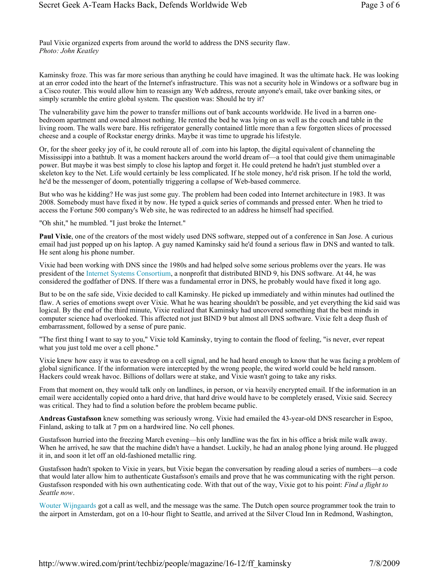Paul Vixie organized experts from around the world to address the DNS security flaw. *Photo: John Keatley*

Kaminsky froze. This was far more serious than anything he could have imagined. It was the ultimate hack. He was looking at an error coded into the heart of the Internet's infrastructure. This was not a security hole in Windows or a software bug in a Cisco router. This would allow him to reassign any Web address, reroute anyone's email, take over banking sites, or simply scramble the entire global system. The question was: Should he try it?

The vulnerability gave him the power to transfer millions out of bank accounts worldwide. He lived in a barren onebedroom apartment and owned almost nothing. He rented the bed he was lying on as well as the couch and table in the living room. The walls were bare. His refrigerator generally contained little more than a few forgotten slices of processed cheese and a couple of Rockstar energy drinks. Maybe it was time to upgrade his lifestyle.

Or, for the sheer geeky joy of it, he could reroute all of .com into his laptop, the digital equivalent of channeling the Mississippi into a bathtub. It was a moment hackers around the world dream of—a tool that could give them unimaginable power. But maybe it was best simply to close his laptop and forget it. He could pretend he hadn't just stumbled over a skeleton key to the Net. Life would certainly be less complicated. If he stole money, he'd risk prison. If he told the world, he'd be the messenger of doom, potentially triggering a collapse of Web-based commerce.

But who was he kidding? He was just some guy. The problem had been coded into Internet architecture in 1983. It was 2008. Somebody must have fixed it by now. He typed a quick series of commands and pressed enter. When he tried to access the Fortune 500 company's Web site, he was redirected to an address he himself had specified.

"Oh shit," he mumbled. "I just broke the Internet."

**Paul Vixie**, one of the creators of the most widely used DNS software, stepped out of a conference in San Jose. A curious email had just popped up on his laptop. A guy named Kaminsky said he'd found a serious flaw in DNS and wanted to talk. He sent along his phone number.

Vixie had been working with DNS since the 1980s and had helped solve some serious problems over the years. He was president of the Internet Systems Consortium, a nonprofit that distributed BIND 9, his DNS software. At 44, he was considered the godfather of DNS. If there was a fundamental error in DNS, he probably would have fixed it long ago.

But to be on the safe side, Vixie decided to call Kaminsky. He picked up immediately and within minutes had outlined the flaw. A series of emotions swept over Vixie. What he was hearing shouldn't be possible, and yet everything the kid said was logical. By the end of the third minute, Vixie realized that Kaminsky had uncovered something that the best minds in computer science had overlooked. This affected not just BIND 9 but almost all DNS software. Vixie felt a deep flush of embarrassment, followed by a sense of pure panic.

"The first thing I want to say to you," Vixie told Kaminsky, trying to contain the flood of feeling, "is never, ever repeat what you just told me over a cell phone."

Vixie knew how easy it was to eavesdrop on a cell signal, and he had heard enough to know that he was facing a problem of global significance. If the information were intercepted by the wrong people, the wired world could be held ransom. Hackers could wreak havoc. Billions of dollars were at stake, and Vixie wasn't going to take any risks.

From that moment on, they would talk only on landlines, in person, or via heavily encrypted email. If the information in an email were accidentally copied onto a hard drive, that hard drive would have to be completely erased, Vixie said. Secrecy was critical. They had to find a solution before the problem became public.

**Andreas Gustafsson** knew something was seriously wrong. Vixie had emailed the 43-year-old DNS researcher in Espoo, Finland, asking to talk at 7 pm on a hardwired line. No cell phones.

Gustafsson hurried into the freezing March evening—his only landline was the fax in his office a brisk mile walk away. When he arrived, he saw that the machine didn't have a handset. Luckily, he had an analog phone lying around. He plugged it in, and soon it let off an old-fashioned metallic ring.

Gustafsson hadn't spoken to Vixie in years, but Vixie began the conversation by reading aloud a series of numbers—a code that would later allow him to authenticate Gustafsson's emails and prove that he was communicating with the right person. Gustafsson responded with his own authenticating code. With that out of the way, Vixie got to his point: *Find a flight to Seattle now*.

Wouter Wijngaards got a call as well, and the message was the same. The Dutch open source programmer took the train to the airport in Amsterdam, got on a 10-hour flight to Seattle, and arrived at the Silver Cloud Inn in Redmond, Washington,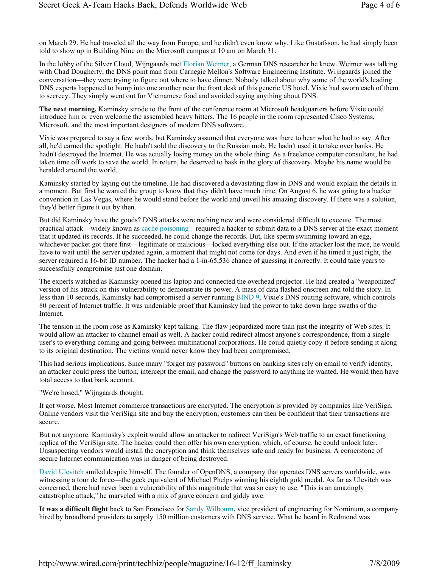on March 29. He had traveled all the way from Europe, and he didn't even know why. Like Gustafsson, he had simply been told to show up in Building Nine on the Microsoft campus at 10 am on March 31.

In the lobby of the Silver Cloud, Wijngaards met Florian Weimer, a German DNS researcher he knew. Weimer was talking with Chad Dougherty, the DNS point man from Carnegie Mellon's Software Engineering Institute. Wijngaards joined the conversation—they were trying to figure out where to have dinner. Nobody talked about why some of the world's leading DNS experts happened to bump into one another near the front desk of this generic US hotel. Vixie had sworn each of them to secrecy. They simply went out for Vietnamese food and avoided saying anything about DNS.

**The next morning,** Kaminsky strode to the front of the conference room at Microsoft headquarters before Vixie could introduce him or even welcome the assembled heavy hitters. The 16 people in the room represented Cisco Systems, Microsoft, and the most important designers of modern DNS software.

Vixie was prepared to say a few words, but Kaminsky assumed that everyone was there to hear what he had to say. After all, he'd earned the spotlight. He hadn't sold the discovery to the Russian mob. He hadn't used it to take over banks. He hadn't destroyed the Internet. He was actually losing money on the whole thing: As a freelance computer consultant, he had taken time off work to save the world. In return, he deserved to bask in the glory of discovery. Maybe his name would be heralded around the world.

Kaminsky started by laying out the timeline. He had discovered a devastating flaw in DNS and would explain the details in a moment. But first he wanted the group to know that they didn't have much time. On August 6, he was going to a hacker convention in Las Vegas, where he would stand before the world and unveil his amazing discovery. If there was a solution, they'd better figure it out by then.

But did Kaminsky have the goods? DNS attacks were nothing new and were considered difficult to execute. The most practical attack—widely known as cache poisoning—required a hacker to submit data to a DNS server at the exact moment that it updated its records. If he succeeded, he could change the records. But, like sperm swimming toward an egg, whichever packet got there first—legitimate or malicious—locked everything else out. If the attacker lost the race, he would have to wait until the server updated again, a moment that might not come for days. And even if he timed it just right, the server required a 16-bit ID number. The hacker had a 1-in-65,536 chance of guessing it correctly. It could take years to successfully compromise just one domain.

The experts watched as Kaminsky opened his laptop and connected the overhead projector. He had created a "weaponized" version of his attack on this vulnerability to demonstrate its power. A mass of data flashed onscreen and told the story. In less than 10 seconds, Kaminsky had compromised a server running BIND 9, Vixie's DNS routing software, which controls 80 percent of Internet traffic. It was undeniable proof that Kaminsky had the power to take down large swaths of the Internet.

The tension in the room rose as Kaminsky kept talking. The flaw jeopardized more than just the integrity of Web sites. It would allow an attacker to channel email as well. A hacker could redirect almost anyone's correspondence, from a single user's to everything coming and going between multinational corporations. He could quietly copy it before sending it along to its original destination. The victims would never know they had been compromised.

This had serious implications. Since many "forgot my password" buttons on banking sites rely on email to verify identity, an attacker could press the button, intercept the email, and change the password to anything he wanted. He would then have total access to that bank account.

"We're hosed," Wijngaards thought.

It got worse. Most Internet commerce transactions are encrypted. The encryption is provided by companies like VeriSign. Online vendors visit the VeriSign site and buy the encryption; customers can then be confident that their transactions are secure.

But not anymore. Kaminsky's exploit would allow an attacker to redirect VeriSign's Web traffic to an exact functioning replica of the VeriSign site. The hacker could then offer his own encryption, which, of course, he could unlock later. Unsuspecting vendors would install the encryption and think themselves safe and ready for business. A cornerstone of secure Internet communication was in danger of being destroyed.

David Ulevitch smiled despite himself. The founder of OpenDNS, a company that operates DNS servers worldwide, was witnessing a tour de force—the geek equivalent of Michael Phelps winning his eighth gold medal. As far as Ulevitch was concerned, there had never been a vulnerability of this magnitude that was so easy to use. "This is an amazingly catastrophic attack," he marveled with a mix of grave concern and giddy awe.

**It was a difficult flight** back to San Francisco for Sandy Wilbourn, vice president of engineering for Nominum, a company hired by broadband providers to supply 150 million customers with DNS service. What he heard in Redmond was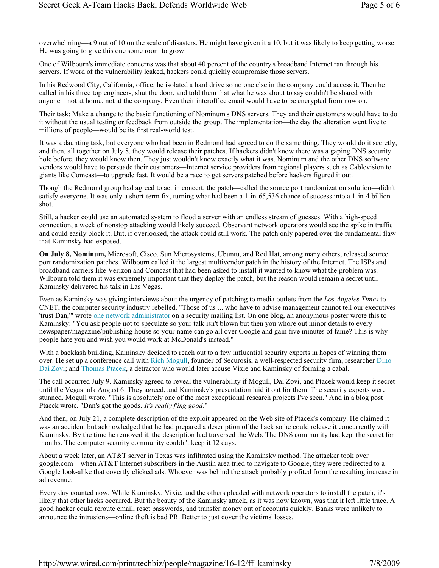overwhelming—a 9 out of 10 on the scale of disasters. He might have given it a 10, but it was likely to keep getting worse. He was going to give this one some room to grow.

One of Wilbourn's immediate concerns was that about 40 percent of the country's broadband Internet ran through his servers. If word of the vulnerability leaked, hackers could quickly compromise those servers.

In his Redwood City, California, office, he isolated a hard drive so no one else in the company could access it. Then he called in his three top engineers, shut the door, and told them that what he was about to say couldn't be shared with anyone—not at home, not at the company. Even their interoffice email would have to be encrypted from now on.

Their task: Make a change to the basic functioning of Nominum's DNS servers. They and their customers would have to do it without the usual testing or feedback from outside the group. The implementation—the day the alteration went live to millions of people—would be its first real-world test.

It was a daunting task, but everyone who had been in Redmond had agreed to do the same thing. They would do it secretly, and then, all together on July 8, they would release their patches. If hackers didn't know there was a gaping DNS security hole before, they would know then. They just wouldn't know exactly what it was. Nominum and the other DNS software vendors would have to persuade their customers—Internet service providers from regional players such as Cablevision to giants like Comcast—to upgrade fast. It would be a race to get servers patched before hackers figured it out.

Though the Redmond group had agreed to act in concert, the patch—called the source port randomization solution—didn't satisfy everyone. It was only a short-term fix, turning what had been a 1-in-65,536 chance of success into a 1-in-4 billion shot.

Still, a hacker could use an automated system to flood a server with an endless stream of guesses. With a high-speed connection, a week of nonstop attacking would likely succeed. Observant network operators would see the spike in traffic and could easily block it. But, if overlooked, the attack could still work. The patch only papered over the fundamental flaw that Kaminsky had exposed.

**On July 8, Nominum,** Microsoft, Cisco, Sun Microsystems, Ubuntu, and Red Hat, among many others, released source port randomization patches. Wilbourn called it the largest multivendor patch in the history of the Internet. The ISPs and broadband carriers like Verizon and Comcast that had been asked to install it wanted to know what the problem was. Wilbourn told them it was extremely important that they deploy the patch, but the reason would remain a secret until Kaminsky delivered his talk in Las Vegas.

Even as Kaminsky was giving interviews about the urgency of patching to media outlets from the *Los Angeles Times* to CNET, the computer security industry rebelled. "Those of us ... who have to advise management cannot tell our executives 'trust Dan,'" wrote one network administrator on a security mailing list. On one blog, an anonymous poster wrote this to Kaminsky: "You ask people not to speculate so your talk isn't blown but then you whore out minor details to every newspaper/magazine/publishing house so your name can go all over Google and gain five minutes of fame? This is why people hate you and wish you would work at McDonald's instead."

With a backlash building, Kaminsky decided to reach out to a few influential security experts in hopes of winning them over. He set up a conference call with Rich Mogull, founder of Securosis, a well-respected security firm; researcher Dino Dai Zovi; and Thomas Ptacek, a detractor who would later accuse Vixie and Kaminsky of forming a cabal.

The call occurred July 9. Kaminsky agreed to reveal the vulnerability if Mogull, Dai Zovi, and Ptacek would keep it secret until the Vegas talk August 6. They agreed, and Kaminsky's presentation laid it out for them. The security experts were stunned. Mogull wrote, "This is absolutely one of the most exceptional research projects I've seen." And in a blog post Ptacek wrote, "Dan's got the goods. *It's really f'ing good*."

And then, on July 21, a complete description of the exploit appeared on the Web site of Ptacek's company. He claimed it was an accident but acknowledged that he had prepared a description of the hack so he could release it concurrently with Kaminsky. By the time he removed it, the description had traversed the Web. The DNS community had kept the secret for months. The computer security community couldn't keep it 12 days.

About a week later, an AT&T server in Texas was infiltrated using the Kaminsky method. The attacker took over google.com—when AT&T Internet subscribers in the Austin area tried to navigate to Google, they were redirected to a Google look-alike that covertly clicked ads. Whoever was behind the attack probably profited from the resulting increase in ad revenue.

Every day counted now. While Kaminsky, Vixie, and the others pleaded with network operators to install the patch, it's likely that other hacks occurred. But the beauty of the Kaminsky attack, as it was now known, was that it left little trace. A good hacker could reroute email, reset passwords, and transfer money out of accounts quickly. Banks were unlikely to announce the intrusions—online theft is bad PR. Better to just cover the victims' losses.